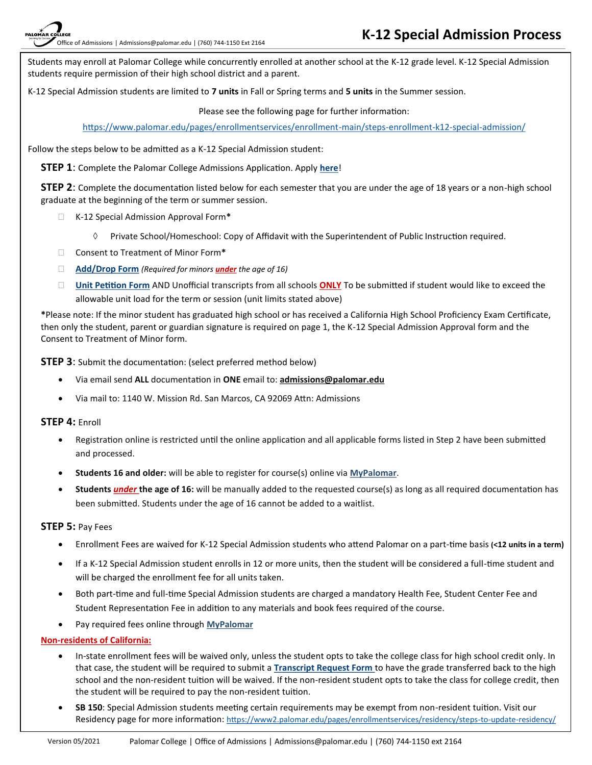Students may enroll at Palomar College while concurrently enrolled at another school at the K-12 grade level. K-12 Special Admission students require permission of their high school district and a parent.

K-12 Special Admission students are limited to **7 units** in Fall or Spring terms and **5 units** in the Summer session.

Please see the following page for further information:

[https://www.palomar.edu/pages/enrollmentservices/enrollment](https://www2.palomar.edu/pages/enrollmentservices/enrollment-main/steps-enrollment-k12-special-admission/)-main/steps-enrollment-k12-special-admission/

Follow the steps below to be admitted as a K-12 Special Admission student:

**STEP 1**: Complete the Palomar College Admissions Application. Apply **[here](https://www.opencccapply.net/gateway/apply?cccMisCode=061)**!

**STEP 2**: Complete the documentation listed below for each semester that you are under the age of 18 years or a non-high school graduate at the beginning of the term or summer session.

- K-12 Special Admission Approval Form**\***
	- $\Diamond$  Private School/Homeschool: Copy of Affidavit with the Superintendent of Public Instruction required.
- Consent to Treatment of Minor Form**\***
- **[Add/Drop Form](https://www2.palomar.edu/pages/enrollmentservices/files/2014/12/Enrollment-Add-Drop-Form-2020_2New.pdf)** *(Required for minors under the age of 16)*
- **[Unit Petition Form](https://www2.palomar.edu/pages/enrollmentservices/appeals-and-petitions/#K12_Special_Admission_Unit_Petition)** AND Unofficial transcripts from all schools **ONLY** To be submitted if student would like to exceed the allowable unit load for the term or session (unit limits stated above)

**\***Please note: If the minor student has graduated high school or has received a California High School Proficiency Exam Certificate, then only the student, parent or guardian signature is required on page 1, the K-12 Special Admission Approval form and the Consent to Treatment of Minor form.

**STEP 3:** Submit the documentation: (select preferred method below)

- Via email send **ALL** documentation in **ONE** email to: **admissions@palomar.edu**
- Via mail to: 1140 W. Mission Rd. San Marcos, CA 92069 Attn: Admissions

#### **STEP 4:** Enroll

- Registration online is restricted until the online application and all applicable forms listed in Step 2 have been submitted and processed.
- **Students 16 and older:** will be able to register for course(s) online via **[MyPalomar](https://my.palomar.edu/psp/palc9prd/EMPLOYEE/SA/?cmd=logout)**.
- **Students** *under* **the age of 16:** will be manually added to the requested course(s) as long as all required documentation has been submitted. Students under the age of 16 cannot be added to a waitlist.

#### **STEP 5:** Pay Fees

- Enrollment Fees are waived for K-12 Special Admission students who attend Palomar on a part-time basis **(<12 units in a term)**
- If a K-12 Special Admission student enrolls in 12 or more units, then the student will be considered a full-time student and will be charged the enrollment fee for all units taken.
- Both part-time and full-time Special Admission students are charged a mandatory Health Fee, Student Center Fee and Student Representation Fee in addition to any materials and book fees required of the course.
- Pay required fees online through **[MyPalomar](https://my.palomar.edu/psp/palc9prd/EMPLOYEE/SA/?cmd=logout)**

#### **Non-residents of California:**

- In-state enrollment fees will be waived only, unless the student opts to take the college class for high school credit only. In that case, the student will be required to submit a **[Transcript Request Form](https://www2.palomar.edu/pages/evaluationsandrecords/files/2015/06/TransRqst-Updated-2020.pdf)** to have the grade transferred back to the high school and the non-resident tuition will be waived. If the non-resident student opts to take the class for college credit, then the student will be required to pay the non-resident tuition.
- **SB 150**: Special Admission students meeting certain requirements may be exempt from non-resident tuition. Visit our Residency page for more information: [https://www2.palomar.edu/pages/enrollmentservices/residency/steps](https://www2.palomar.edu/pages/enrollmentservices/residency/steps-to-update-residency/)-to-update-residency/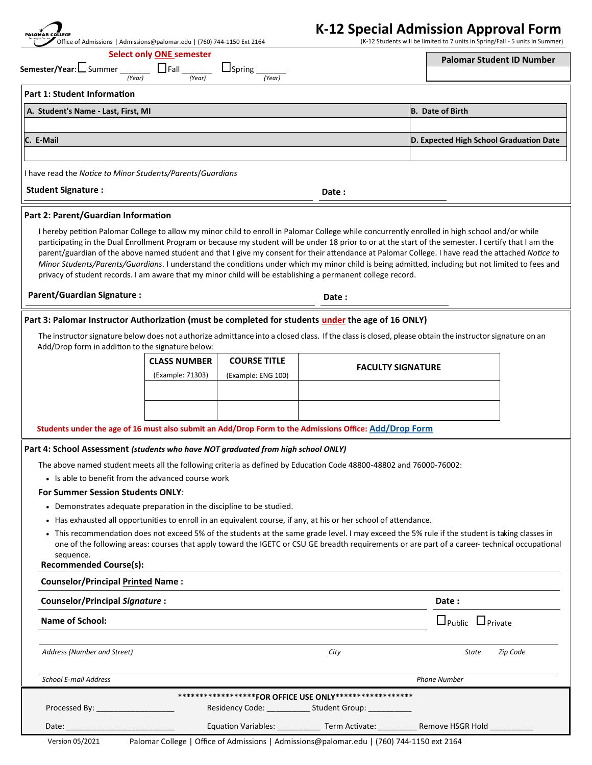| PALOMAR COLLEGE<br>Office of Admissions   Admissions@palomar.edu   (760) 744-1150 Ext 2164                                                                                                                                     |                                 |                                |                                                                                                                  | K-12 Special Admission Approval Form<br>(K-12 Students will be limited to 7 units in Spring/Fall - 5 units in Summer)                                                                                                                                                                                                                                                                                                                                                                                                                                                                                             |
|--------------------------------------------------------------------------------------------------------------------------------------------------------------------------------------------------------------------------------|---------------------------------|--------------------------------|------------------------------------------------------------------------------------------------------------------|-------------------------------------------------------------------------------------------------------------------------------------------------------------------------------------------------------------------------------------------------------------------------------------------------------------------------------------------------------------------------------------------------------------------------------------------------------------------------------------------------------------------------------------------------------------------------------------------------------------------|
|                                                                                                                                                                                                                                | <b>Select only ONE semester</b> |                                |                                                                                                                  |                                                                                                                                                                                                                                                                                                                                                                                                                                                                                                                                                                                                                   |
| Semester/Year: Summer<br>(Year)                                                                                                                                                                                                | (Year)                          | $\Box$ Spring $\Box$<br>(Year) |                                                                                                                  | <b>Palomar Student ID Number</b>                                                                                                                                                                                                                                                                                                                                                                                                                                                                                                                                                                                  |
| Part 1: Student Information                                                                                                                                                                                                    |                                 |                                |                                                                                                                  |                                                                                                                                                                                                                                                                                                                                                                                                                                                                                                                                                                                                                   |
| A. Student's Name - Last, First, MI                                                                                                                                                                                            |                                 |                                |                                                                                                                  | B. Date of Birth                                                                                                                                                                                                                                                                                                                                                                                                                                                                                                                                                                                                  |
| C. E-Mail                                                                                                                                                                                                                      |                                 |                                |                                                                                                                  | D. Expected High School Graduation Date                                                                                                                                                                                                                                                                                                                                                                                                                                                                                                                                                                           |
|                                                                                                                                                                                                                                |                                 |                                |                                                                                                                  |                                                                                                                                                                                                                                                                                                                                                                                                                                                                                                                                                                                                                   |
| I have read the Notice to Minor Students/Parents/Guardians                                                                                                                                                                     |                                 |                                |                                                                                                                  |                                                                                                                                                                                                                                                                                                                                                                                                                                                                                                                                                                                                                   |
| <b>Student Signature:</b>                                                                                                                                                                                                      |                                 |                                | Date :                                                                                                           |                                                                                                                                                                                                                                                                                                                                                                                                                                                                                                                                                                                                                   |
| Part 2: Parent/Guardian Information                                                                                                                                                                                            |                                 |                                |                                                                                                                  |                                                                                                                                                                                                                                                                                                                                                                                                                                                                                                                                                                                                                   |
| privacy of student records. I am aware that my minor child will be establishing a permanent college record.                                                                                                                    |                                 |                                |                                                                                                                  | I hereby petition Palomar College to allow my minor child to enroll in Palomar College while concurrently enrolled in high school and/or while<br>participating in the Dual Enrollment Program or because my student will be under 18 prior to or at the start of the semester. I certify that I am the<br>parent/guardian of the above named student and that I give my consent for their attendance at Palomar College. I have read the attached Notice to<br>Minor Students/Parents/Guardians. I understand the conditions under which my minor child is being admitted, including but not limited to fees and |
| <b>Parent/Guardian Signature:</b>                                                                                                                                                                                              |                                 |                                | Date:                                                                                                            |                                                                                                                                                                                                                                                                                                                                                                                                                                                                                                                                                                                                                   |
| Part 3: Palomar Instructor Authorization (must be completed for students under the age of 16 ONLY)                                                                                                                             |                                 |                                |                                                                                                                  |                                                                                                                                                                                                                                                                                                                                                                                                                                                                                                                                                                                                                   |
| Add/Drop form in addition to the signature below:                                                                                                                                                                              |                                 |                                |                                                                                                                  | The instructor signature below does not authorize admittance into a closed class. If the class is closed, please obtain the instructor signature on an                                                                                                                                                                                                                                                                                                                                                                                                                                                            |
|                                                                                                                                                                                                                                | <b>CLASS NUMBER</b>             | <b>COURSE TITLE</b>            | <b>FACULTY SIGNATURE</b>                                                                                         |                                                                                                                                                                                                                                                                                                                                                                                                                                                                                                                                                                                                                   |
|                                                                                                                                                                                                                                | (Example: 71303)                | (Example: ENG 100)             |                                                                                                                  |                                                                                                                                                                                                                                                                                                                                                                                                                                                                                                                                                                                                                   |
|                                                                                                                                                                                                                                |                                 |                                |                                                                                                                  |                                                                                                                                                                                                                                                                                                                                                                                                                                                                                                                                                                                                                   |
|                                                                                                                                                                                                                                |                                 |                                |                                                                                                                  |                                                                                                                                                                                                                                                                                                                                                                                                                                                                                                                                                                                                                   |
| Students under the age of 16 must also submit an Add/Drop Form to the Admissions Office: Add/Drop Form                                                                                                                         |                                 |                                |                                                                                                                  |                                                                                                                                                                                                                                                                                                                                                                                                                                                                                                                                                                                                                   |
| Part 4: School Assessment (students who have NOT graduated from high school ONLY)                                                                                                                                              |                                 |                                |                                                                                                                  |                                                                                                                                                                                                                                                                                                                                                                                                                                                                                                                                                                                                                   |
| The above named student meets all the following criteria as defined by Education Code 48800-48802 and 76000-76002:                                                                                                             |                                 |                                |                                                                                                                  |                                                                                                                                                                                                                                                                                                                                                                                                                                                                                                                                                                                                                   |
| • Is able to benefit from the advanced course work                                                                                                                                                                             |                                 |                                |                                                                                                                  |                                                                                                                                                                                                                                                                                                                                                                                                                                                                                                                                                                                                                   |
| <b>For Summer Session Students ONLY:</b>                                                                                                                                                                                       |                                 |                                |                                                                                                                  |                                                                                                                                                                                                                                                                                                                                                                                                                                                                                                                                                                                                                   |
| • Demonstrates adequate preparation in the discipline to be studied.                                                                                                                                                           |                                 |                                |                                                                                                                  |                                                                                                                                                                                                                                                                                                                                                                                                                                                                                                                                                                                                                   |
| sequence.<br><b>Recommended Course(s):</b>                                                                                                                                                                                     |                                 |                                | • Has exhausted all opportunities to enroll in an equivalent course, if any, at his or her school of attendance. | • This recommendation does not exceed 5% of the students at the same grade level. I may exceed the 5% rule if the student is taking classes in<br>one of the following areas: courses that apply toward the IGETC or CSU GE breadth requirements or are part of a career-technical occupational                                                                                                                                                                                                                                                                                                                   |
| <b>Counselor/Principal Printed Name:</b>                                                                                                                                                                                       |                                 |                                |                                                                                                                  |                                                                                                                                                                                                                                                                                                                                                                                                                                                                                                                                                                                                                   |
| <b>Counselor/Principal Signature:</b>                                                                                                                                                                                          |                                 |                                |                                                                                                                  | Date:                                                                                                                                                                                                                                                                                                                                                                                                                                                                                                                                                                                                             |
| <b>Name of School:</b>                                                                                                                                                                                                         |                                 |                                |                                                                                                                  | $\Box$ Public $\Box$ Private                                                                                                                                                                                                                                                                                                                                                                                                                                                                                                                                                                                      |
| Address (Number and Street)                                                                                                                                                                                                    |                                 |                                | City                                                                                                             | Zip Code<br>State                                                                                                                                                                                                                                                                                                                                                                                                                                                                                                                                                                                                 |
| <b>School E-mail Address</b>                                                                                                                                                                                                   |                                 |                                |                                                                                                                  | <b>Phone Number</b>                                                                                                                                                                                                                                                                                                                                                                                                                                                                                                                                                                                               |
|                                                                                                                                                                                                                                |                                 |                                | ******************FOR OFFICE USE ONLY******************                                                          |                                                                                                                                                                                                                                                                                                                                                                                                                                                                                                                                                                                                                   |
| Processed By: ___________________                                                                                                                                                                                              |                                 |                                | Residency Code: ______________ Student Group: ___________                                                        |                                                                                                                                                                                                                                                                                                                                                                                                                                                                                                                                                                                                                   |
| Date: the contract of the contract of the contract of the contract of the contract of the contract of the contract of the contract of the contract of the contract of the contract of the contract of the contract of the cont |                                 |                                |                                                                                                                  | Equation Variables: ______________ Term Activate: ____________ Remove HSGR Hold ____________                                                                                                                                                                                                                                                                                                                                                                                                                                                                                                                      |
| Version 05/2021                                                                                                                                                                                                                |                                 |                                | Palomar College   Office of Admissions   Admissions@palomar.edu   (760) 744-1150 ext 2164                        |                                                                                                                                                                                                                                                                                                                                                                                                                                                                                                                                                                                                                   |

Palomar College | Office of Admissions | Admissions@palomar.edu | (760) 744-1150 ext 2164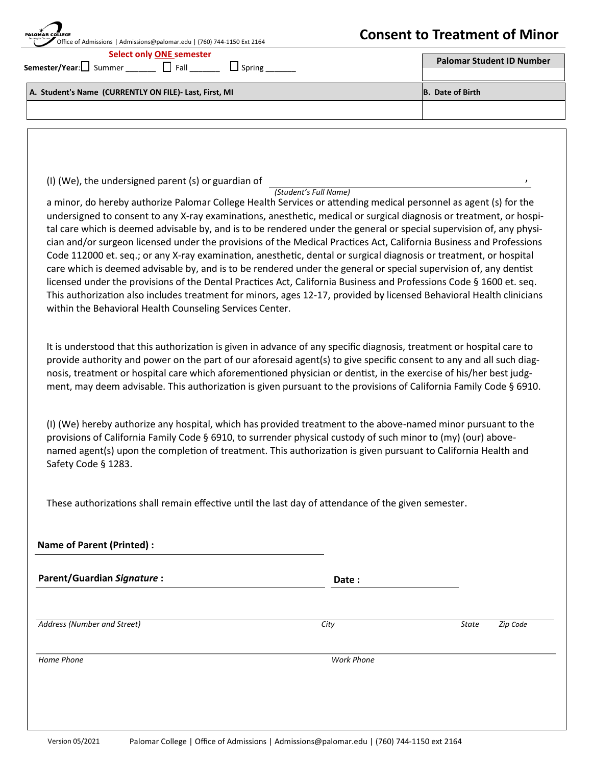| <b>Select only ONE semester</b><br>Semester/Year:□ Summer □ Fall<br>$\Box$ Spring<br>A. Student's Name (CURRENTLY ON FILE)- Last, First, MI                                                                                                 |                       | <b>Palomar Student ID Number</b><br><b>B.</b> Date of Birth |
|---------------------------------------------------------------------------------------------------------------------------------------------------------------------------------------------------------------------------------------------|-----------------------|-------------------------------------------------------------|
|                                                                                                                                                                                                                                             |                       |                                                             |
|                                                                                                                                                                                                                                             |                       |                                                             |
|                                                                                                                                                                                                                                             |                       |                                                             |
|                                                                                                                                                                                                                                             |                       |                                                             |
|                                                                                                                                                                                                                                             |                       |                                                             |
|                                                                                                                                                                                                                                             |                       |                                                             |
| (I) (We), the undersigned parent (s) or guardian of                                                                                                                                                                                         | (Student's Full Name) | $\prime$                                                    |
| a minor, do hereby authorize Palomar College Health Services or attending medical personnel as agent (s) for the                                                                                                                            |                       |                                                             |
| undersigned to consent to any X-ray examinations, anesthetic, medical or surgical diagnosis or treatment, or hospi-<br>tal care which is deemed advisable by, and is to be rendered under the general or special supervision of, any physi- |                       |                                                             |
| cian and/or surgeon licensed under the provisions of the Medical Practices Act, California Business and Professions                                                                                                                         |                       |                                                             |
| Code 112000 et. seq.; or any X-ray examination, anesthetic, dental or surgical diagnosis or treatment, or hospital                                                                                                                          |                       |                                                             |
| care which is deemed advisable by, and is to be rendered under the general or special supervision of, any dentist                                                                                                                           |                       |                                                             |
| licensed under the provisions of the Dental Practices Act, California Business and Professions Code § 1600 et. seq.                                                                                                                         |                       |                                                             |
| This authorization also includes treatment for minors, ages 12-17, provided by licensed Behavioral Health clinicians                                                                                                                        |                       |                                                             |
| within the Behavioral Health Counseling Services Center.                                                                                                                                                                                    |                       |                                                             |
|                                                                                                                                                                                                                                             |                       |                                                             |
| It is understood that this authorization is given in advance of any specific diagnosis, treatment or hospital care to                                                                                                                       |                       |                                                             |
| provide authority and power on the part of our aforesaid agent(s) to give specific consent to any and all such diag-                                                                                                                        |                       |                                                             |
| nosis, treatment or hospital care which aforementioned physician or dentist, in the exercise of his/her best judg-                                                                                                                          |                       |                                                             |
| ment, may deem advisable. This authorization is given pursuant to the provisions of California Family Code § 6910.                                                                                                                          |                       |                                                             |
|                                                                                                                                                                                                                                             |                       |                                                             |
| (I) (We) hereby authorize any hospital, which has provided treatment to the above-named minor pursuant to the                                                                                                                               |                       |                                                             |
| provisions of California Family Code § 6910, to surrender physical custody of such minor to (my) (our) above-                                                                                                                               |                       |                                                             |
| named agent(s) upon the completion of treatment. This authorization is given pursuant to California Health and                                                                                                                              |                       |                                                             |
| Safety Code § 1283.                                                                                                                                                                                                                         |                       |                                                             |
|                                                                                                                                                                                                                                             |                       |                                                             |
| These authorizations shall remain effective until the last day of attendance of the given semester.                                                                                                                                         |                       |                                                             |
|                                                                                                                                                                                                                                             |                       |                                                             |
| <b>Name of Parent (Printed):</b>                                                                                                                                                                                                            |                       |                                                             |
| <b>Parent/Guardian Signature:</b>                                                                                                                                                                                                           | Date:                 |                                                             |
|                                                                                                                                                                                                                                             |                       |                                                             |
| <b>Address (Number and Street)</b>                                                                                                                                                                                                          | City                  | State<br>Zip Code                                           |
|                                                                                                                                                                                                                                             |                       |                                                             |
| Home Phone                                                                                                                                                                                                                                  | <b>Work Phone</b>     |                                                             |
|                                                                                                                                                                                                                                             |                       |                                                             |
|                                                                                                                                                                                                                                             |                       |                                                             |
|                                                                                                                                                                                                                                             |                       |                                                             |

۵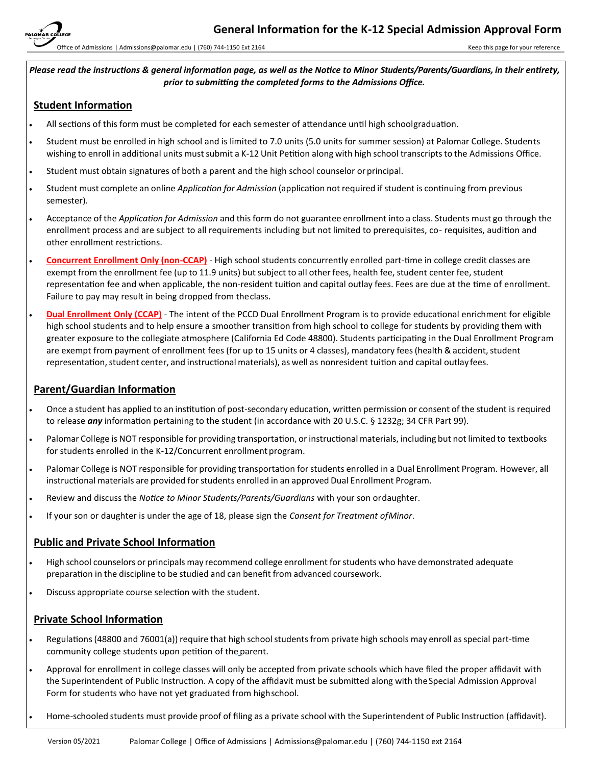Office of Admissions | Admissions@palomar.edu | (760) 744-1150 Ext 2164

*Please read the instructions & general information page, as well as the Notice to Minor Students/Parents/Guardians, in their entirety, prior to submitting the completed forms to the Admissions Office.*

### **Student Information**

- All sections of this form must be completed for each semester of attendance until high schoolgraduation.
- Student must be enrolled in high school and is limited to 7.0 units (5.0 units for summer session) at Palomar College. Students wishing to enroll in additional units must submit a K-12 Unit Petition along with high school transcripts to the Admissions Office.
- Student must obtain signatures of both a parent and the high school counselor or principal.
- Student must complete an online *Application for Admission* (application not required if student is continuing from previous semester).
- Acceptance of the *Application for Admission* and thisform do not guarantee enrollment into a class. Students must go through the enrollment process and are subject to all requirements including but not limited to prerequisites, co- requisites, audition and other enrollment restrictions.
- **Concurrent Enrollment Only (non-CCAP)** High school students concurrently enrolled part-time in college credit classes are exempt from the enrollment fee (up to 11.9 units) but subject to all other fees, health fee, student center fee, student representation fee and when applicable, the non-resident tuition and capital outlay fees. Fees are due at the time of enrollment. Failure to pay may result in being dropped from theclass.
- **Dual Enrollment Only (CCAP)** The intent of the PCCD Dual Enrollment Program is to provide educational enrichment for eligible high school students and to help ensure a smoother transition from high school to college for students by providing them with greater exposure to the collegiate atmosphere (California Ed Code 48800). Students participating in the Dual Enrollment Program are exempt from payment of enrollment fees (for up to 15 units or 4 classes), mandatory fees (health & accident, student representation, student center, and instructional materials), as well as nonresident tuition and capital outlay fees.

### **Parent/Guardian Information**

- Once a student has applied to an institution of post-secondary education, written permission or consent of the student is required to release *any* information pertaining to the student (in accordance with 20 U.S.C. § 1232g; 34 CFR Part 99).
- Palomar College is NOT responsible for providing transportation, or instructional materials, including but not limited to textbooks for students enrolled in the K-12/Concurrent enrollment program.
- Palomar College is NOT responsible for providing transportation forstudents enrolled in a Dual Enrollment Program. However, all instructional materials are provided for students enrolled in an approved Dual Enrollment Program.
- Review and discuss the *Notice to Minor Students/Parents/Guardians* with your son ordaughter.
- If your son or daughter is under the age of 18, please sign the *Consent for Treatment ofMinor*.

### **Public and Private School Information**

- High school counselors or principals may recommend college enrollment forstudents who have demonstrated adequate preparation in the discipline to be studied and can benefit from advanced coursework.
- Discuss appropriate course selection with the student.

### **Private School Information**

- Regulations (48800 and 76001(a)) require that high school students from private high schools may enroll as special part-time community college students upon petition of the [parent.](http://www.cde.ca.gov/ds/si/ps/)
- Approval for enrollment in college classes will only be accepted from private schools which have filed the proper affidavit with the Superintendent of Public Instruction. A copy of the affidavit must be submitted along with the Special Admission Approval Form for students who have not yet graduated from highschool.
- Home-schooled students must provide proof of filing as a private school with the Superintendent of Public Instruction (affidavit).